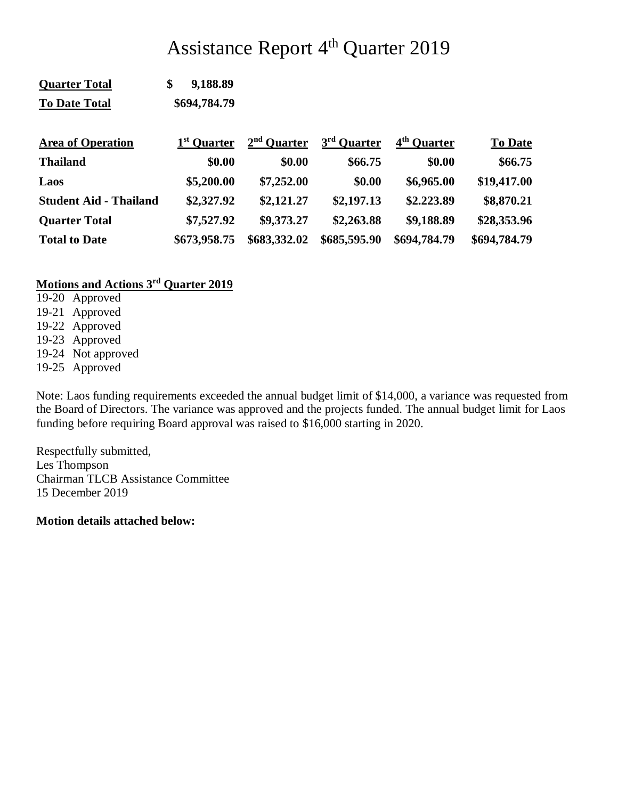# Assistance Report 4<sup>th</sup> Quarter 2019

| <b>To Date Total</b>          | \$694,784.79            |               |                         |                         |                |
|-------------------------------|-------------------------|---------------|-------------------------|-------------------------|----------------|
| <b>Area of Operation</b>      | 1 <sup>st</sup> Quarter | $2nd$ Quarter | 3 <sup>rd</sup> Ouarter | 4 <sup>th</sup> Quarter | <b>To Date</b> |
| <b>Thailand</b>               | \$0.00                  | \$0.00        | \$66.75                 | \$0.00                  | \$66.75        |
| Laos                          | \$5,200.00              | \$7,252.00    | \$0.00                  | \$6,965.00              | \$19,417.00    |
| <b>Student Aid - Thailand</b> | \$2,327.92              | \$2,121.27    | \$2,197.13              | \$2.223.89              | \$8,870.21     |
| <b>Quarter Total</b>          | \$7,527.92              | \$9,373.27    | \$2,263.88              | \$9,188.89              | \$28,353.96    |
| <b>Total to Date</b>          | \$673,958.75            | \$683,332.02  | \$685,595.90            | \$694,784.79            | \$694,784.79   |

# **Motions and Actions 3rd Quarter 2019**

**Quarter Total \$ 9,188.89**

- 19-20 Approved
- 19-21 Approved
- 19-22 Approved 19-23 Approved
- 19-24 Not approved
- 19-25 Approved

Note: Laos funding requirements exceeded the annual budget limit of \$14,000, a variance was requested from the Board of Directors. The variance was approved and the projects funded. The annual budget limit for Laos funding before requiring Board approval was raised to \$16,000 starting in 2020.

Respectfully submitted, Les Thompson Chairman TLCB Assistance Committee 15 December 2019

**Motion details attached below:**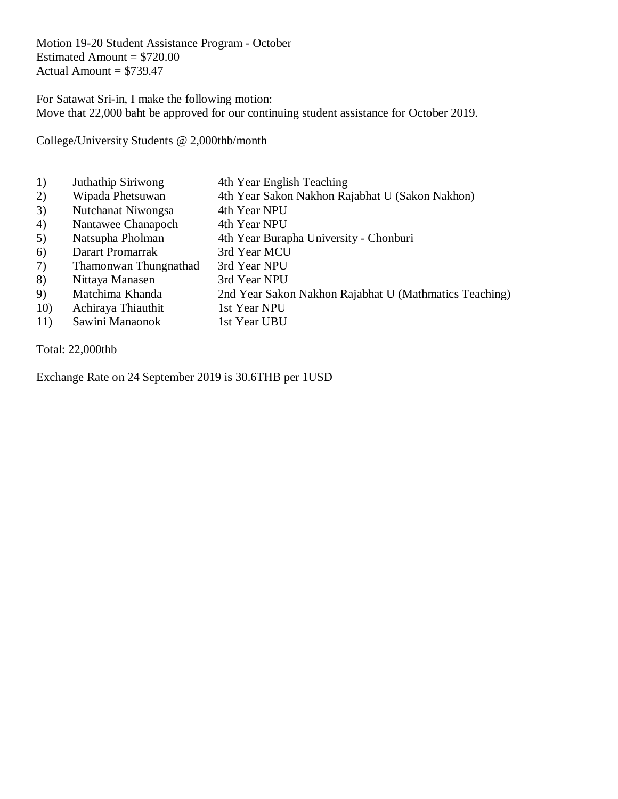Motion 19-20 Student Assistance Program - October Estimated Amount  $= $720.00$ Actual Amount  $= $739.47$ 

For Satawat Sri-in, I make the following motion: Move that 22,000 baht be approved for our continuing student assistance for October 2019.

College/University Students @ 2,000thb/month

1) Juthathip Siriwong 4th Year English Teaching 2) Wipada Phetsuwan 4th Year Sakon Nakhon Rajabhat U (Sakon Nakhon) 3) Nutchanat Niwongsa 4th Year NPU 4) Nantawee Chanapoch 4th Year NPU 5) Natsupha Pholman 4th Year Burapha University - Chonburi 6) Darart Promarrak 3rd Year MCU 7) Thamonwan Thungnathad 3rd Year NPU 8) Nittaya Manasen 3rd Year NPU 9) Matchima Khanda 2nd Year Sakon Nakhon Rajabhat U (Mathmatics Teaching) 10) Achiraya Thiauthit 1st Year NPU 11) Sawini Manaonok 1st Year UBU

Total: 22,000thb

Exchange Rate on 24 September 2019 is 30.6THB per 1USD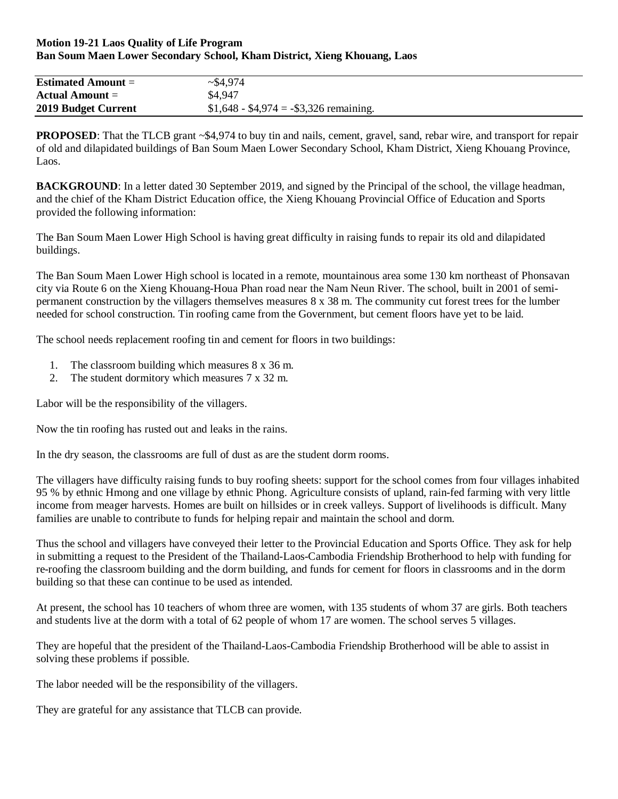#### **Motion 19-21 Laos Quality of Life Program Ban Soum Maen Lower Secondary School, Kham District, Xieng Khouang, Laos**

| <b>Estimated Amount =</b> | ~1.974                                  |  |
|---------------------------|-----------------------------------------|--|
| Actual Amount $=$         | \$4.947                                 |  |
| 2019 Budget Current       | $$1,648 - $4,974 = - $3,326$ remaining. |  |

**PROPOSED**: That the TLCB grant ~\$4,974 to buy tin and nails, cement, gravel, sand, rebar wire, and transport for repair of old and dilapidated buildings of Ban Soum Maen Lower Secondary School, Kham District, Xieng Khouang Province, Laos.

**BACKGROUND**: In a letter dated 30 September 2019, and signed by the Principal of the school, the village headman, and the chief of the Kham District Education office, the Xieng Khouang Provincial Office of Education and Sports provided the following information:

The Ban Soum Maen Lower High School is having great difficulty in raising funds to repair its old and dilapidated buildings.

The Ban Soum Maen Lower High school is located in a remote, mountainous area some 130 km northeast of Phonsavan city via Route 6 on the Xieng Khouang-Houa Phan road near the Nam Neun River. The school, built in 2001 of semipermanent construction by the villagers themselves measures 8 x 38 m. The community cut forest trees for the lumber needed for school construction. Tin roofing came from the Government, but cement floors have yet to be laid.

The school needs replacement roofing tin and cement for floors in two buildings:

- 1. The classroom building which measures 8 x 36 m.
- 2. The student dormitory which measures 7 x 32 m.

Labor will be the responsibility of the villagers.

Now the tin roofing has rusted out and leaks in the rains.

In the dry season, the classrooms are full of dust as are the student dorm rooms.

The villagers have difficulty raising funds to buy roofing sheets: support for the school comes from four villages inhabited 95 % by ethnic Hmong and one village by ethnic Phong. Agriculture consists of upland, rain-fed farming with very little income from meager harvests. Homes are built on hillsides or in creek valleys. Support of livelihoods is difficult. Many families are unable to contribute to funds for helping repair and maintain the school and dorm.

Thus the school and villagers have conveyed their letter to the Provincial Education and Sports Office. They ask for help in submitting a request to the President of the Thailand-Laos-Cambodia Friendship Brotherhood to help with funding for re-roofing the classroom building and the dorm building, and funds for cement for floors in classrooms and in the dorm building so that these can continue to be used as intended.

At present, the school has 10 teachers of whom three are women, with 135 students of whom 37 are girls. Both teachers and students live at the dorm with a total of 62 people of whom 17 are women. The school serves 5 villages.

They are hopeful that the president of the Thailand-Laos-Cambodia Friendship Brotherhood will be able to assist in solving these problems if possible.

The labor needed will be the responsibility of the villagers.

They are grateful for any assistance that TLCB can provide.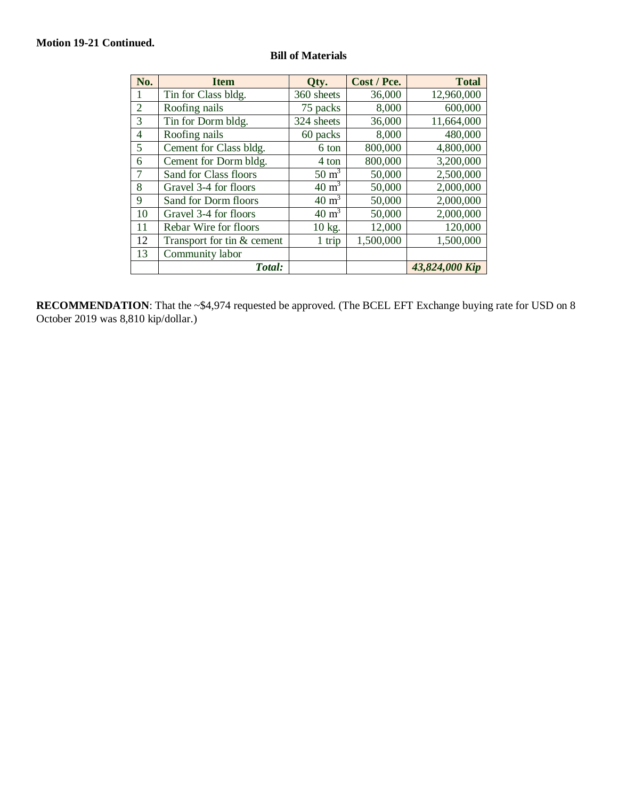## **Motion 19-21 Continued.**

| No.            | <b>Item</b>                | Qty.             | Cost / Pce. | <b>Total</b>   |
|----------------|----------------------------|------------------|-------------|----------------|
| 1              | Tin for Class bldg.        | 360 sheets       | 36,000      | 12,960,000     |
| $\overline{2}$ | Roofing nails              | 75 packs         | 8,000       | 600,000        |
| 3              | Tin for Dorm bldg.         | 324 sheets       | 36,000      | 11,664,000     |
| 4              | Roofing nails              | 60 packs         | 8,000       | 480,000        |
| 5              | Cement for Class bldg.     | 6 ton            | 800,000     | 4,800,000      |
| 6              | Cement for Dorm bldg.      | 4 ton            | 800,000     | 3,200,000      |
| 7              | Sand for Class floors      | $50 \text{ m}^3$ | 50,000      | 2,500,000      |
| 8              | Gravel 3-4 for floors      | $40 \text{ m}^3$ | 50,000      | 2,000,000      |
| 9              | Sand for Dorm floors       | $40 \text{ m}^3$ | 50,000      | 2,000,000      |
| 10             | Gravel 3-4 for floors      | $40 \text{ m}^3$ | 50,000      | 2,000,000      |
| 11             | Rebar Wire for floors      | 10 kg.           | 12,000      | 120,000        |
| 12             | Transport for tin & cement | $1$ trip         | 1,500,000   | 1,500,000      |
| 13             | Community labor            |                  |             |                |
|                | Total:                     |                  |             | 43,824,000 Kip |

# **Bill of Materials**

**RECOMMENDATION**: That the ~\$4,974 requested be approved. (The BCEL EFT Exchange buying rate for USD on 8 October 2019 was 8,810 kip/dollar.)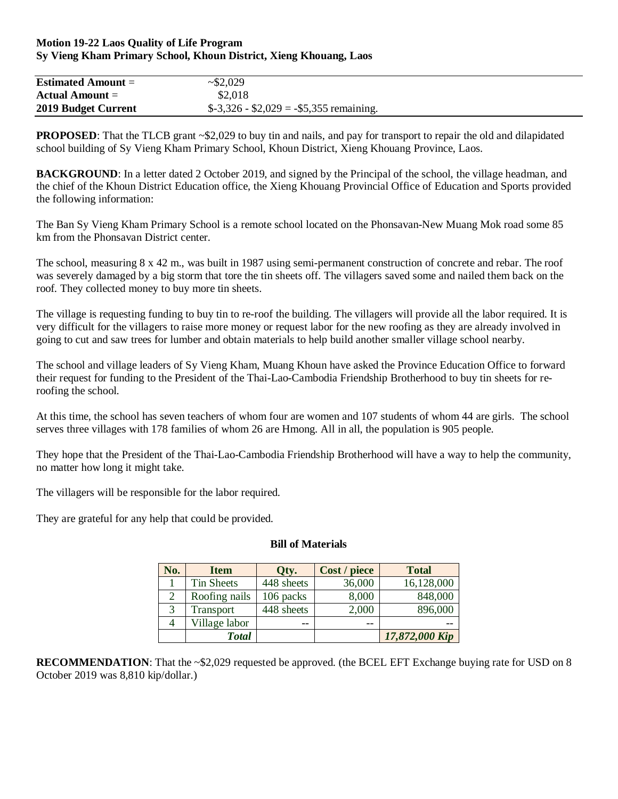### **Motion 19-22 Laos Quality of Life Program Sy Vieng Kham Primary School, Khoun District, Xieng Khouang, Laos**

| <b>Estimated Amount =</b> | $\sim 2.029$                                       |  |
|---------------------------|----------------------------------------------------|--|
| Actual Amount $=$         | \$2,018                                            |  |
| 2019 Budget Current       | $\$$ -3,326 - $\$$ 2,029 = - $\$$ 5,355 remaining. |  |

**PROPOSED**: That the TLCB grant ~\$2,029 to buy tin and nails, and pay for transport to repair the old and dilapidated school building of Sy Vieng Kham Primary School, Khoun District, Xieng Khouang Province, Laos.

**BACKGROUND**: In a letter dated 2 October 2019, and signed by the Principal of the school, the village headman, and the chief of the Khoun District Education office, the Xieng Khouang Provincial Office of Education and Sports provided the following information:

The Ban Sy Vieng Kham Primary School is a remote school located on the Phonsavan-New Muang Mok road some 85 km from the Phonsavan District center.

The school, measuring 8 x 42 m., was built in 1987 using semi-permanent construction of concrete and rebar. The roof was severely damaged by a big storm that tore the tin sheets off. The villagers saved some and nailed them back on the roof. They collected money to buy more tin sheets.

The village is requesting funding to buy tin to re-roof the building. The villagers will provide all the labor required. It is very difficult for the villagers to raise more money or request labor for the new roofing as they are already involved in going to cut and saw trees for lumber and obtain materials to help build another smaller village school nearby.

The school and village leaders of Sy Vieng Kham, Muang Khoun have asked the Province Education Office to forward their request for funding to the President of the Thai-Lao-Cambodia Friendship Brotherhood to buy tin sheets for reroofing the school.

At this time, the school has seven teachers of whom four are women and 107 students of whom 44 are girls. The school serves three villages with 178 families of whom 26 are Hmong. All in all, the population is 905 people.

They hope that the President of the Thai-Lao-Cambodia Friendship Brotherhood will have a way to help the community, no matter how long it might take.

The villagers will be responsible for the labor required.

They are grateful for any help that could be provided.

### **Bill of Materials**

| No.            | <b>Item</b>       | Qty.       | Cost / piece | <b>Total</b>   |
|----------------|-------------------|------------|--------------|----------------|
|                | <b>Tin Sheets</b> | 448 sheets | 36,000       | 16,128,000     |
| $\overline{2}$ | Roofing nails     | 106 packs  | 8,000        | 848,000        |
| 3              | Transport         | 448 sheets | 2,000        | 896,000        |
|                | Village labor     | --         | --           | --             |
|                | <b>Total</b>      |            |              | 17,872,000 Kip |

**RECOMMENDATION:** That the ~\$2,029 requested be approved. (the BCEL EFT Exchange buying rate for USD on 8 October 2019 was 8,810 kip/dollar.)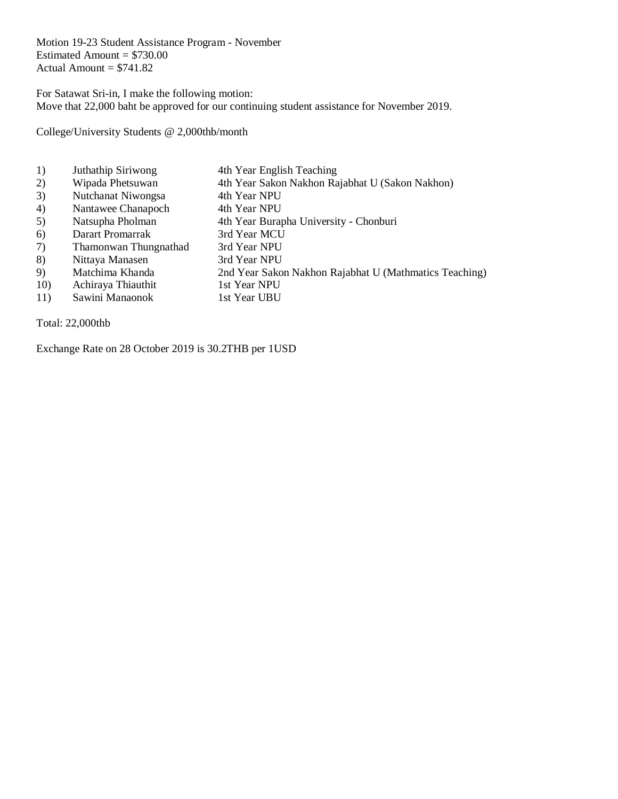Motion 19-23 Student Assistance Program - November Estimated Amount  $= $730.00$ Actual Amount  $= $741.82$ 

For Satawat Sri-in, I make the following motion: Move that 22,000 baht be approved for our continuing student assistance for November 2019.

College/University Students @ 2,000thb/month

- 1) Juthathip Siriwong 4th Year English Teaching
- 2) Wipada Phetsuwan 4th Year Sakon Nakhon Rajabhat U (Sakon Nakhon)
- 3) Nutchanat Niwongsa 4th Year NPU
- 4) Nantawee Chanapoch 4th Year NPU
- 5) Natsupha Pholman 4th Year Burapha University Chonburi<br>6) Darart Promarrak 3rd Year MCU
- 
- 6) Darart Promarrak 3rd Year MCU<br>7) Thamonwan Thungnathad 3rd Year NPU 7) Thamonwan Thungnathad
- 8) Nittaya Manasen 3rd Year NPU
- 9) Matchima Khanda 2nd Year Sakon Nakhon Rajabhat U (Mathmatics Teaching)
- 10) Achiraya Thiauthit 1st Year NPU
- 11) Sawini Manaonok 1st Year UBU

Total: 22,000thb

Exchange Rate on 28 October 2019 is 30.2THB per 1USD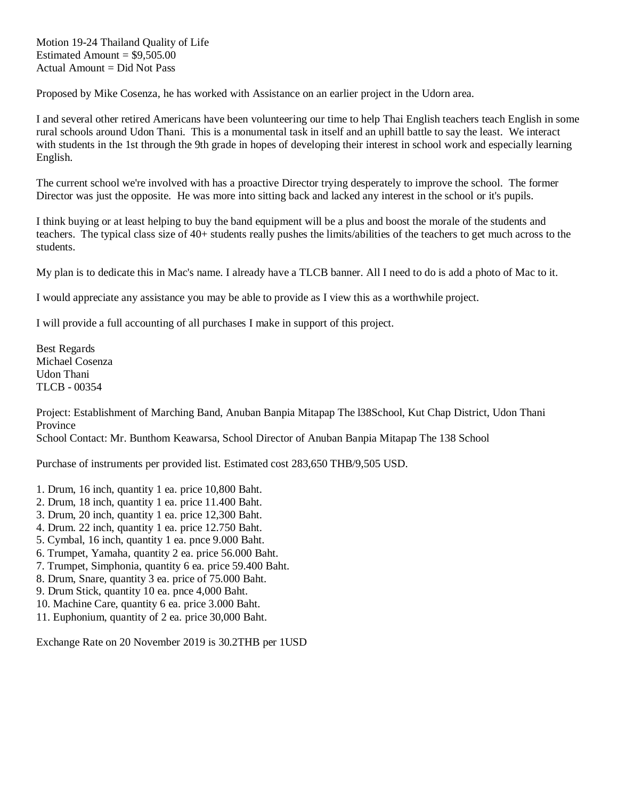Motion 19-24 Thailand Quality of Life Estimated Amount  $= $9,505.00$ Actual Amount = Did Not Pass

Proposed by Mike Cosenza, he has worked with Assistance on an earlier project in the Udorn area.

I and several other retired Americans have been volunteering our time to help Thai English teachers teach English in some rural schools around Udon Thani. This is a monumental task in itself and an uphill battle to say the least. We interact with students in the 1st through the 9th grade in hopes of developing their interest in school work and especially learning English.

The current school we're involved with has a proactive Director trying desperately to improve the school. The former Director was just the opposite. He was more into sitting back and lacked any interest in the school or it's pupils.

I think buying or at least helping to buy the band equipment will be a plus and boost the morale of the students and teachers. The typical class size of 40+ students really pushes the limits/abilities of the teachers to get much across to the students.

My plan is to dedicate this in Mac's name. I already have a TLCB banner. All I need to do is add a photo of Mac to it.

I would appreciate any assistance you may be able to provide as I view this as a worthwhile project.

I will provide a full accounting of all purchases I make in support of this project.

Best Regards Michael Cosenza Udon Thani TLCB - 00354

Project: Establishment of Marching Band, Anuban Banpia Mitapap The l38School, Kut Chap District, Udon Thani Province

School Contact: Mr. Bunthom Keawarsa, School Director of Anuban Banpia Mitapap The 138 School

Purchase of instruments per provided list. Estimated cost 283,650 THB/9,505 USD.

- 1. Drum, 16 inch, quantity 1 ea. price 10,800 Baht.
- 2. Drum, 18 inch, quantity 1 ea. price 11.400 Baht.
- 3. Drum, 20 inch, quantity 1 ea. price 12,300 Baht.
- 4. Drum. 22 inch, quantity 1 ea. price 12.750 Baht.
- 5. Cymbal, 16 inch, quantity 1 ea. pnce 9.000 Baht.
- 6. Trumpet, Yamaha, quantity 2 ea. price 56.000 Baht.
- 7. Trumpet, Simphonia, quantity 6 ea. price 59.400 Baht.
- 8. Drum, Snare, quantity 3 ea. price of 75.000 Baht.
- 9. Drum Stick, quantity 10 ea. pnce 4,000 Baht.
- 10. Machine Care, quantity 6 ea. price 3.000 Baht.
- 11. Euphonium, quantity of 2 ea. price 30,000 Baht.

Exchange Rate on 20 November 2019 is 30.2THB per 1USD